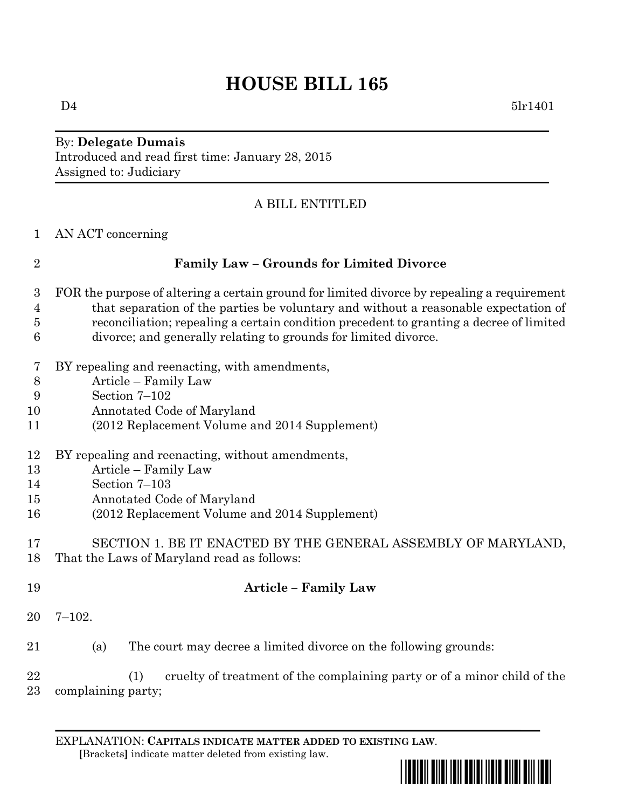# **HOUSE BILL 165**

## By: **Delegate Dumais** Introduced and read first time: January 28, 2015 Assigned to: Judiciary

## A BILL ENTITLED

| $\mathbf{1}$        | AN ACT concerning                                                                                                                                          |
|---------------------|------------------------------------------------------------------------------------------------------------------------------------------------------------|
| $\overline{2}$      | <b>Family Law - Grounds for Limited Divorce</b>                                                                                                            |
| 3                   | FOR the purpose of altering a certain ground for limited divorce by repealing a requirement                                                                |
| $\overline{4}$      | that separation of the parties be voluntary and without a reasonable expectation of                                                                        |
| $\overline{5}$<br>6 | reconciliation; repealing a certain condition precedent to granting a decree of limited<br>divorce; and generally relating to grounds for limited divorce. |
| 7                   | BY repealing and reenacting, with amendments,                                                                                                              |
| $8\,$               | Article – Family Law                                                                                                                                       |
| 9<br>10             | Section 7-102<br>Annotated Code of Maryland                                                                                                                |
| 11                  | (2012 Replacement Volume and 2014 Supplement)                                                                                                              |
|                     |                                                                                                                                                            |
| 12                  | BY repealing and reenacting, without amendments,                                                                                                           |
| 13                  | Article - Family Law                                                                                                                                       |
| 14                  | Section $7-103$                                                                                                                                            |
| 15                  | Annotated Code of Maryland                                                                                                                                 |
| 16                  | (2012 Replacement Volume and 2014 Supplement)                                                                                                              |
| 17                  | SECTION 1. BE IT ENACTED BY THE GENERAL ASSEMBLY OF MARYLAND,                                                                                              |
| 18                  | That the Laws of Maryland read as follows:                                                                                                                 |
|                     |                                                                                                                                                            |
| 19                  | <b>Article - Family Law</b>                                                                                                                                |
| 20                  | $7 - 102.$                                                                                                                                                 |
| 21                  | The court may decree a limited divorce on the following grounds:<br>(a)                                                                                    |
| 22<br>23            | cruelty of treatment of the complaining party or of a minor child of the<br>(1)<br>complaining party;                                                      |

EXPLANATION: **CAPITALS INDICATE MATTER ADDED TO EXISTING LAW**.

 **[**Brackets**]** indicate matter deleted from existing law.

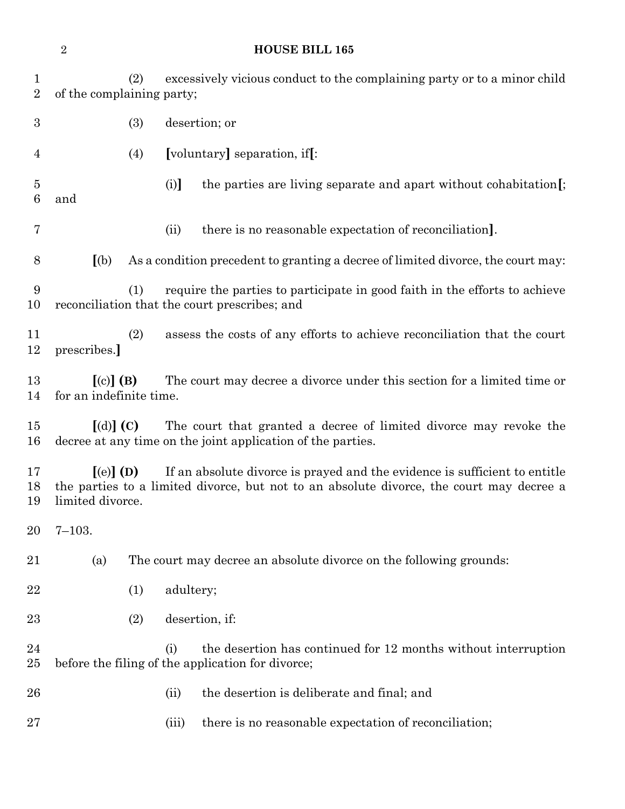**HOUSE BILL 165** (2) excessively vicious conduct to the complaining party or to a minor child of the complaining party; (3) desertion; or (4) **[**voluntary**]** separation, if**[**: (i)**]** the parties are living separate and apart without cohabitation**[**; and (ii) there is no reasonable expectation of reconciliation**]**. **[**(b) As a condition precedent to granting a decree of limited divorce, the court may: (1) require the parties to participate in good faith in the efforts to achieve reconciliation that the court prescribes; and (2) assess the costs of any efforts to achieve reconciliation that the court prescribes.**] [**(c)**] (B)** The court may decree a divorce under this section for a limited time or for an indefinite time. **[**(d)**] (C)** The court that granted a decree of limited divorce may revoke the decree at any time on the joint application of the parties. **[**(e)**] (D)** If an absolute divorce is prayed and the evidence is sufficient to entitle the parties to a limited divorce, but not to an absolute divorce, the court may decree a limited divorce. 7–103. (a) The court may decree an absolute divorce on the following grounds: 22 (1) adultery; (2) desertion, if: (i) the desertion has continued for 12 months without interruption before the filing of the application for divorce; (ii) the desertion is deliberate and final; and 27 (iii) there is no reasonable expectation of reconciliation;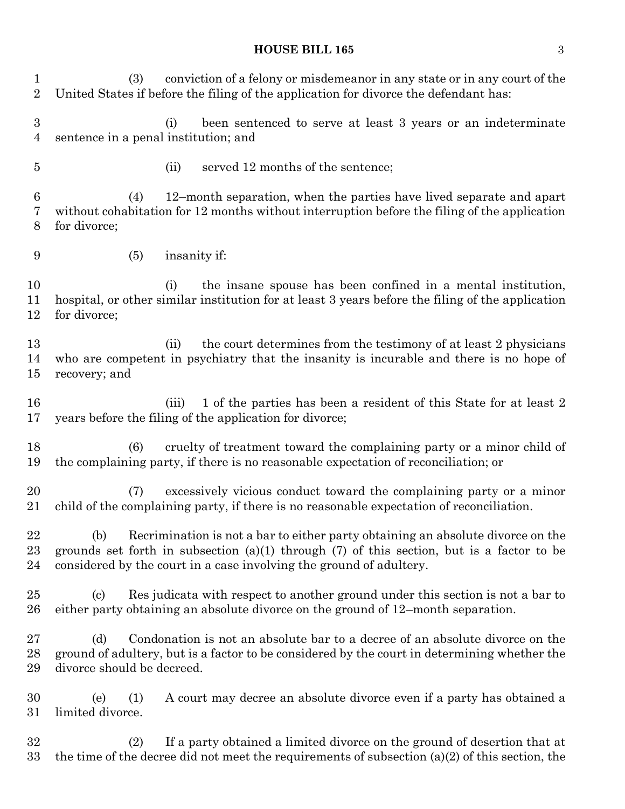#### **HOUSE BILL 165** 3

 (3) conviction of a felony or misdemeanor in any state or in any court of the United States if before the filing of the application for divorce the defendant has: (i) been sentenced to serve at least 3 years or an indeterminate sentence in a penal institution; and (ii) served 12 months of the sentence; (4) 12–month separation, when the parties have lived separate and apart without cohabitation for 12 months without interruption before the filing of the application for divorce; (5) insanity if: (i) the insane spouse has been confined in a mental institution, hospital, or other similar institution for at least 3 years before the filing of the application for divorce; 13 (ii) the court determines from the testimony of at least 2 physicians who are competent in psychiatry that the insanity is incurable and there is no hope of recovery; and 16 (iii) 1 of the parties has been a resident of this State for at least 2 years before the filing of the application for divorce; (6) cruelty of treatment toward the complaining party or a minor child of the complaining party, if there is no reasonable expectation of reconciliation; or (7) excessively vicious conduct toward the complaining party or a minor child of the complaining party, if there is no reasonable expectation of reconciliation. (b) Recrimination is not a bar to either party obtaining an absolute divorce on the grounds set forth in subsection (a)(1) through (7) of this section, but is a factor to be considered by the court in a case involving the ground of adultery. (c) Res judicata with respect to another ground under this section is not a bar to either party obtaining an absolute divorce on the ground of 12–month separation. (d) Condonation is not an absolute bar to a decree of an absolute divorce on the ground of adultery, but is a factor to be considered by the court in determining whether the divorce should be decreed. (e) (1) A court may decree an absolute divorce even if a party has obtained a limited divorce. (2) If a party obtained a limited divorce on the ground of desertion that at the time of the decree did not meet the requirements of subsection (a)(2) of this section, the